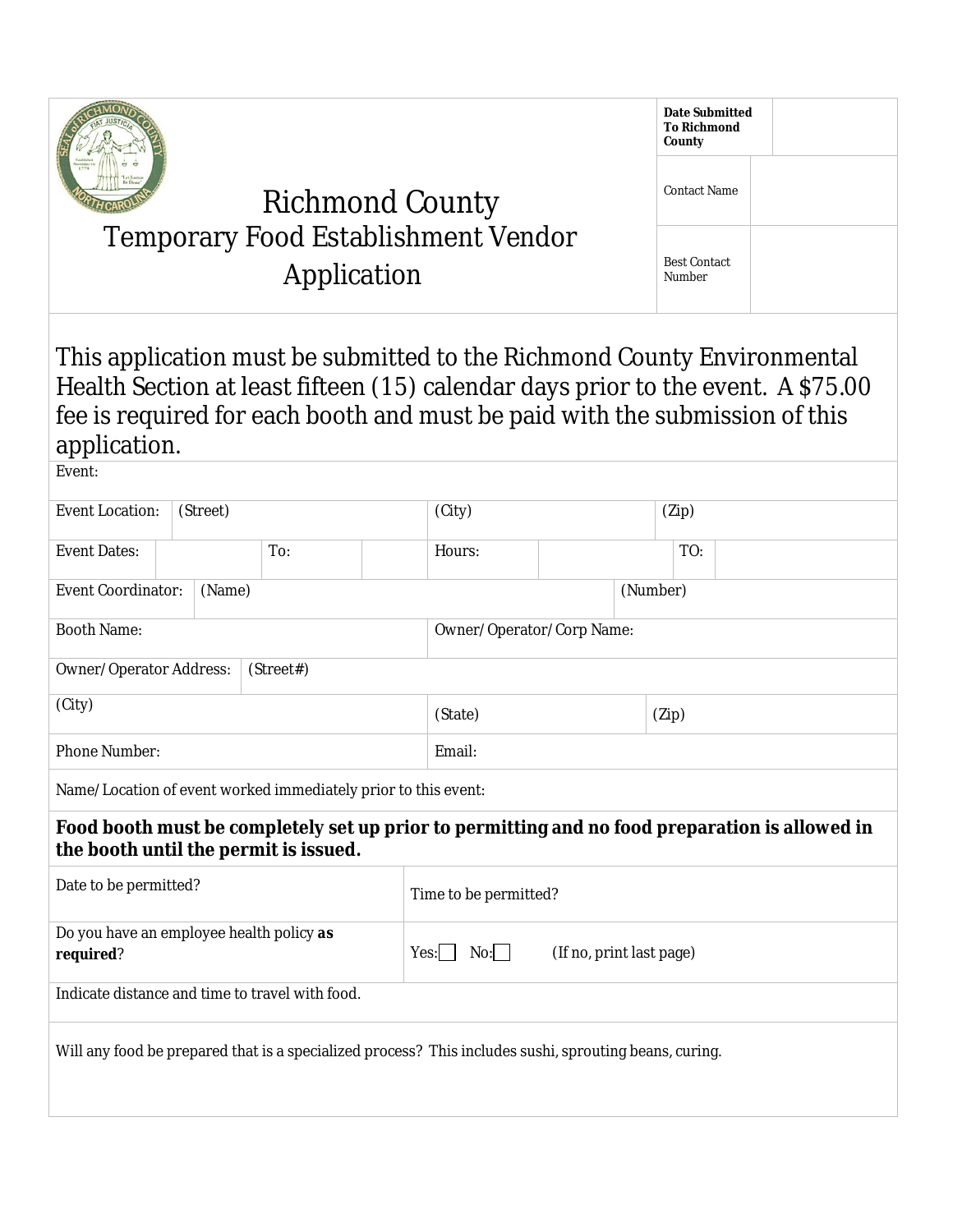|                                                                                                                                                                                                                                                            |                                    |     |                       |                                         |       | <b>Date Submitted</b><br><b>To Richmond</b><br>County |  |  |
|------------------------------------------------------------------------------------------------------------------------------------------------------------------------------------------------------------------------------------------------------------|------------------------------------|-----|-----------------------|-----------------------------------------|-------|-------------------------------------------------------|--|--|
|                                                                                                                                                                                                                                                            |                                    |     | <b>Contact Name</b>   |                                         |       |                                                       |  |  |
| <b>Richmond County</b><br><b>Temporary Food Establishment Vendor</b><br>Application                                                                                                                                                                        |                                    |     |                       |                                         |       | <b>Best Contact</b><br>Number                         |  |  |
|                                                                                                                                                                                                                                                            |                                    |     |                       |                                         |       |                                                       |  |  |
| This application must be submitted to the Richmond County Environmental<br>Health Section at least fifteen (15) calendar days prior to the event. A \$75.00<br>fee is required for each booth and must be paid with the submission of this<br>application. |                                    |     |                       |                                         |       |                                                       |  |  |
| Event:                                                                                                                                                                                                                                                     |                                    |     |                       |                                         |       |                                                       |  |  |
|                                                                                                                                                                                                                                                            | <b>Event Location:</b><br>(Street) |     | (City)                |                                         | (Zip) |                                                       |  |  |
| <b>Event Dates:</b>                                                                                                                                                                                                                                        |                                    | To: |                       | Hours:                                  |       | TO:                                                   |  |  |
| <b>Event Coordinator:</b>                                                                                                                                                                                                                                  | (Name)                             |     |                       |                                         |       | (Number)                                              |  |  |
| <b>Booth Name:</b>                                                                                                                                                                                                                                         |                                    |     |                       | Owner/Operator/Corp Name:               |       |                                                       |  |  |
| Owner/Operator Address:<br>(Street#)                                                                                                                                                                                                                       |                                    |     |                       |                                         |       |                                                       |  |  |
| (City)                                                                                                                                                                                                                                                     |                                    |     | (State)               |                                         | (Zip) |                                                       |  |  |
| Phone Number:                                                                                                                                                                                                                                              |                                    |     |                       | Email:                                  |       |                                                       |  |  |
| Name/Location of event worked immediately prior to this event:                                                                                                                                                                                             |                                    |     |                       |                                         |       |                                                       |  |  |
| Food booth must be completely set up prior to permitting and no food preparation is allowed in<br>the booth until the permit is issued.                                                                                                                    |                                    |     |                       |                                         |       |                                                       |  |  |
| Date to be permitted?                                                                                                                                                                                                                                      |                                    |     | Time to be permitted? |                                         |       |                                                       |  |  |
| Do you have an employee health policy as<br>required?                                                                                                                                                                                                      |                                    |     |                       | No:<br>(If no, print last page)<br>Yes: |       |                                                       |  |  |
| Indicate distance and time to travel with food.                                                                                                                                                                                                            |                                    |     |                       |                                         |       |                                                       |  |  |
| Will any food be prepared that is a specialized process? This includes sushi, sprouting beans, curing.                                                                                                                                                     |                                    |     |                       |                                         |       |                                                       |  |  |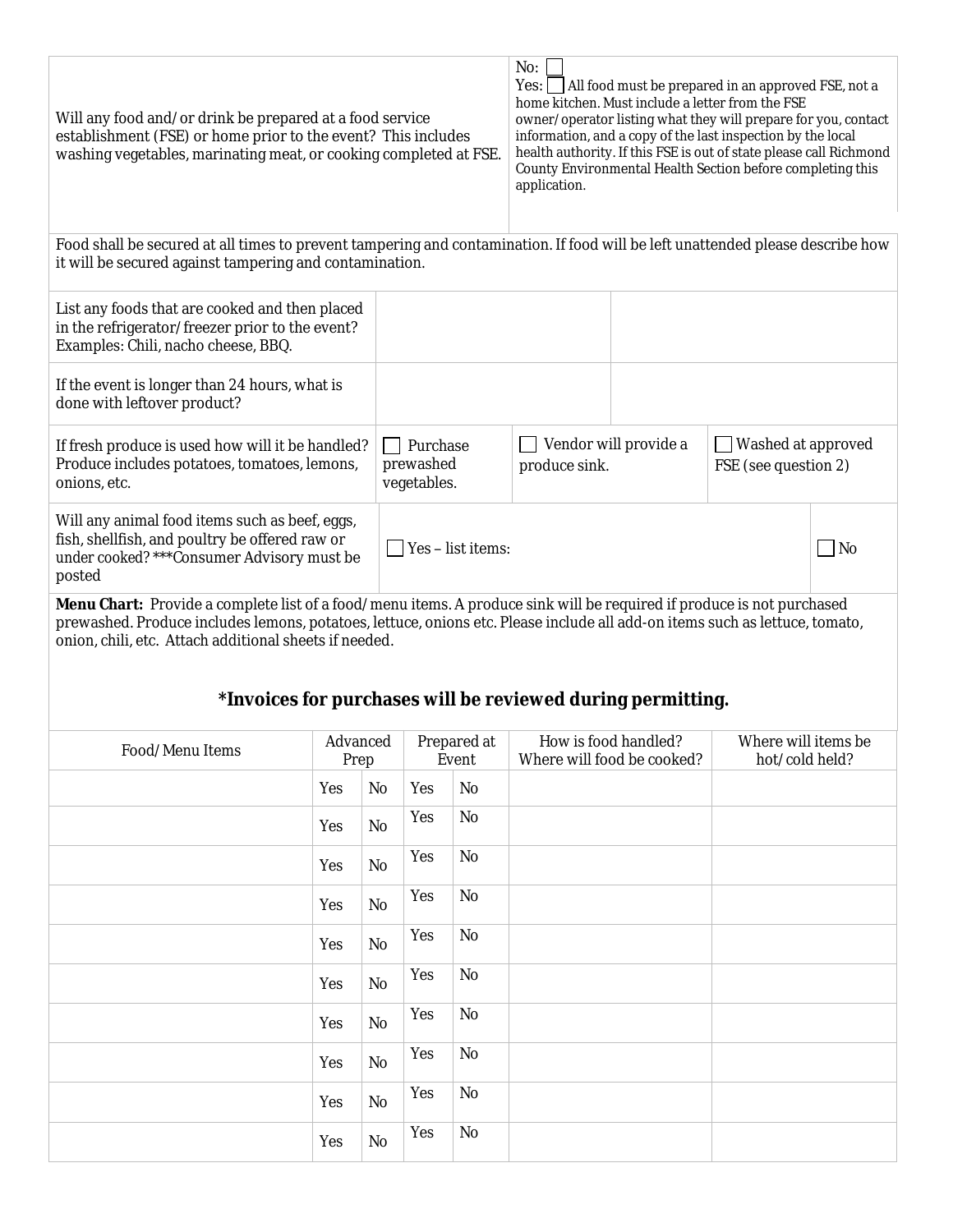| Will any food and/or drink be prepared at a food service<br>establishment (FSE) or home prior to the event? This includes<br>washing vegetables, marinating meat, or cooking completed at FSE. | No:<br>Yes:<br>All food must be prepared in an approved FSE, not a<br>home kitchen. Must include a letter from the FSE<br>owner/operator listing what they will prepare for you, contact<br>information, and a copy of the last inspection by the local<br>health authority. If this FSE is out of state please call Richmond<br>County Environmental Health Section before completing this<br>application. |                                                                                      |  |    |  |  |
|------------------------------------------------------------------------------------------------------------------------------------------------------------------------------------------------|-------------------------------------------------------------------------------------------------------------------------------------------------------------------------------------------------------------------------------------------------------------------------------------------------------------------------------------------------------------------------------------------------------------|--------------------------------------------------------------------------------------|--|----|--|--|
| Food shall be secured at all times to prevent tampering and contamination. If food will be left unattended please describe how<br>it will be secured against tampering and contamination.      |                                                                                                                                                                                                                                                                                                                                                                                                             |                                                                                      |  |    |  |  |
| List any foods that are cooked and then placed<br>in the refrigerator/freezer prior to the event?<br>Examples: Chili, nacho cheese, BBQ.                                                       |                                                                                                                                                                                                                                                                                                                                                                                                             |                                                                                      |  |    |  |  |
| If the event is longer than 24 hours, what is<br>done with leftover product?                                                                                                                   |                                                                                                                                                                                                                                                                                                                                                                                                             |                                                                                      |  |    |  |  |
| If fresh produce is used how will it be handled?<br>Produce includes potatoes, tomatoes, lemons,<br>onions, etc.                                                                               | Purchase<br>prewashed<br>vegetables.                                                                                                                                                                                                                                                                                                                                                                        | Vendor will provide a<br>Washed at approved<br>produce sink.<br>FSE (see question 2) |  |    |  |  |
| Will any animal food items such as beef, eggs,<br>fish, shellfish, and poultry be offered raw or<br>under cooked?***Consumer Advisory must be<br>posted                                        |                                                                                                                                                                                                                                                                                                                                                                                                             |                                                                                      |  | No |  |  |

**Menu Chart:** Provide a complete list of a food/menu items. A produce sink will be required if produce is not purchased prewashed. Produce includes lemons, potatoes, lettuce, onions etc. Please include all add-on items such as lettuce, tomato, onion, chili, etc. Attach additional sheets if needed.

### **\*Invoices for purchases will be reviewed during permitting.**

| Food/Menu Items |     | Advanced<br>Prep |     | Prepared at<br>Event | How is food handled?<br>Where will food be cooked? | Where will items be<br>hot/cold held? |
|-----------------|-----|------------------|-----|----------------------|----------------------------------------------------|---------------------------------------|
|                 | Yes | No               | Yes | No                   |                                                    |                                       |
|                 | Yes | No               | Yes | No                   |                                                    |                                       |
|                 | Yes | No               | Yes | No                   |                                                    |                                       |
|                 | Yes | No               | Yes | No                   |                                                    |                                       |
|                 | Yes | No               | Yes | No                   |                                                    |                                       |
|                 | Yes | No               | Yes | $\rm No$             |                                                    |                                       |
|                 | Yes | No               | Yes | No                   |                                                    |                                       |
|                 | Yes | No               | Yes | No                   |                                                    |                                       |
|                 | Yes | No               | Yes | $\rm No$             |                                                    |                                       |
|                 | Yes | No               | Yes | $\rm No$             |                                                    |                                       |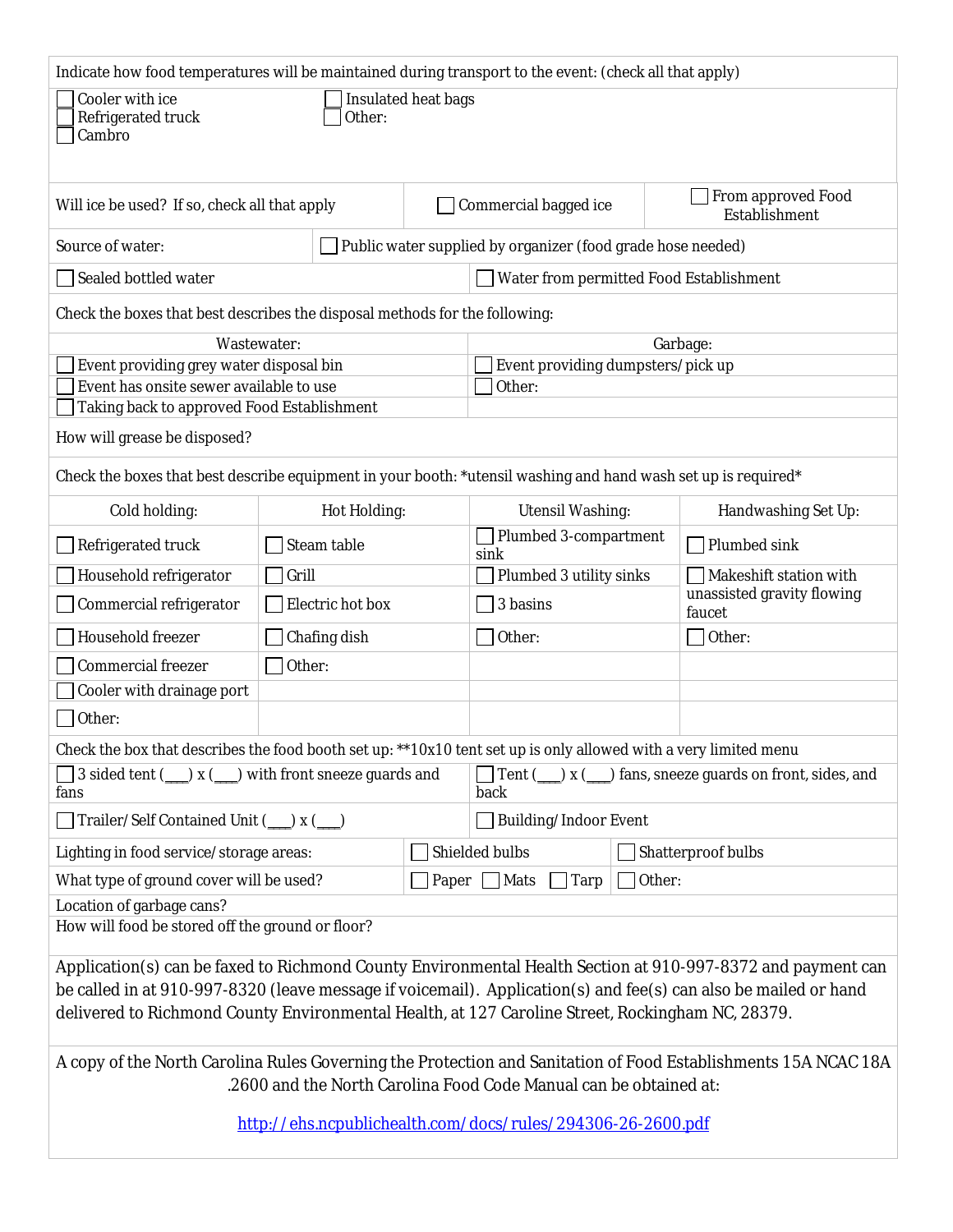| Indicate how food temperatures will be maintained during transport to the event: (check all that apply)                                                                             |                                                            |                                         |  |                                   |  |                                      |  |  |
|-------------------------------------------------------------------------------------------------------------------------------------------------------------------------------------|------------------------------------------------------------|-----------------------------------------|--|-----------------------------------|--|--------------------------------------|--|--|
| Cooler with ice<br>Insulated heat bags<br>Refrigerated truck<br>Other:<br>Cambro                                                                                                    |                                                            |                                         |  |                                   |  |                                      |  |  |
| Commercial bagged ice<br>Will ice be used? If so, check all that apply                                                                                                              |                                                            |                                         |  |                                   |  | From approved Food<br>Establishment  |  |  |
| Source of water:<br>Public water supplied by organizer (food grade hose needed)                                                                                                     |                                                            |                                         |  |                                   |  |                                      |  |  |
| Sealed bottled water                                                                                                                                                                |                                                            | Water from permitted Food Establishment |  |                                   |  |                                      |  |  |
| Check the boxes that best describes the disposal methods for the following:                                                                                                         |                                                            |                                         |  |                                   |  |                                      |  |  |
|                                                                                                                                                                                     | Wastewater:                                                |                                         |  |                                   |  | Garbage:                             |  |  |
| Event providing grey water disposal bin                                                                                                                                             |                                                            |                                         |  | Event providing dumpsters/pick up |  |                                      |  |  |
| Event has onsite sewer available to use                                                                                                                                             |                                                            |                                         |  | Other:                            |  |                                      |  |  |
| Taking back to approved Food Establishment                                                                                                                                          |                                                            |                                         |  |                                   |  |                                      |  |  |
| How will grease be disposed?                                                                                                                                                        |                                                            |                                         |  |                                   |  |                                      |  |  |
| Check the boxes that best describe equipment in your booth: *utensil washing and hand wash set up is required*                                                                      |                                                            |                                         |  |                                   |  |                                      |  |  |
| Cold holding:                                                                                                                                                                       |                                                            | Hot Holding:                            |  | <b>Utensil Washing:</b>           |  | Handwashing Set Up:                  |  |  |
| Refrigerated truck                                                                                                                                                                  |                                                            | Steam table                             |  | Plumbed 3-compartment<br>sink     |  | Plumbed sink                         |  |  |
| Household refrigerator                                                                                                                                                              | Plumbed 3 utility sinks<br>Makeshift station with<br>Grill |                                         |  |                                   |  |                                      |  |  |
| Commercial refrigerator                                                                                                                                                             |                                                            | Electric hot box                        |  | 3 basins                          |  | unassisted gravity flowing<br>faucet |  |  |
| Household freezer                                                                                                                                                                   |                                                            | Chafing dish                            |  | Other:                            |  | Other:                               |  |  |
| Commercial freezer                                                                                                                                                                  | Other:                                                     |                                         |  |                                   |  |                                      |  |  |
| Cooler with drainage port                                                                                                                                                           |                                                            |                                         |  |                                   |  |                                      |  |  |
| Other:                                                                                                                                                                              |                                                            |                                         |  |                                   |  |                                      |  |  |
| Check the box that describes the food booth set up: **10x10 tent set up is only allowed with a very limited menu                                                                    |                                                            |                                         |  |                                   |  |                                      |  |  |
| 3 sided tent (__) x (__) with front sneeze guards and<br>) fans, sneeze guards on front, sides, and<br>Tent $($<br>) x (<br>fans<br>back                                            |                                                            |                                         |  |                                   |  |                                      |  |  |
| Trailer/Self Contained Unit (__) x (__)<br>Building/Indoor Event                                                                                                                    |                                                            |                                         |  |                                   |  |                                      |  |  |
| Lighting in food service/storage areas:                                                                                                                                             |                                                            |                                         |  | Shielded bulbs                    |  | Shatterproof bulbs                   |  |  |
| What type of ground cover will be used?<br>Other:<br>Mats<br>Tarp<br>Paper                                                                                                          |                                                            |                                         |  |                                   |  |                                      |  |  |
| Location of garbage cans?                                                                                                                                                           |                                                            |                                         |  |                                   |  |                                      |  |  |
| How will food be stored off the ground or floor?                                                                                                                                    |                                                            |                                         |  |                                   |  |                                      |  |  |
| Application(s) can be faxed to Richmond County Environmental Health Section at 910-997-8372 and payment can                                                                         |                                                            |                                         |  |                                   |  |                                      |  |  |
| be called in at 910-997-8320 (leave message if voicemail). Application(s) and fee(s) can also be mailed or hand                                                                     |                                                            |                                         |  |                                   |  |                                      |  |  |
| delivered to Richmond County Environmental Health, at 127 Caroline Street, Rockingham NC, 28379.                                                                                    |                                                            |                                         |  |                                   |  |                                      |  |  |
| A copy of the North Carolina Rules Governing the Protection and Sanitation of Food Establishments 15A NCAC 18A<br>.2600 and the North Carolina Food Code Manual can be obtained at: |                                                            |                                         |  |                                   |  |                                      |  |  |
|                                                                                                                                                                                     |                                                            |                                         |  |                                   |  |                                      |  |  |
| http://ehs.ncpublichealth.com/docs/rules/294306-26-2600.pdf                                                                                                                         |                                                            |                                         |  |                                   |  |                                      |  |  |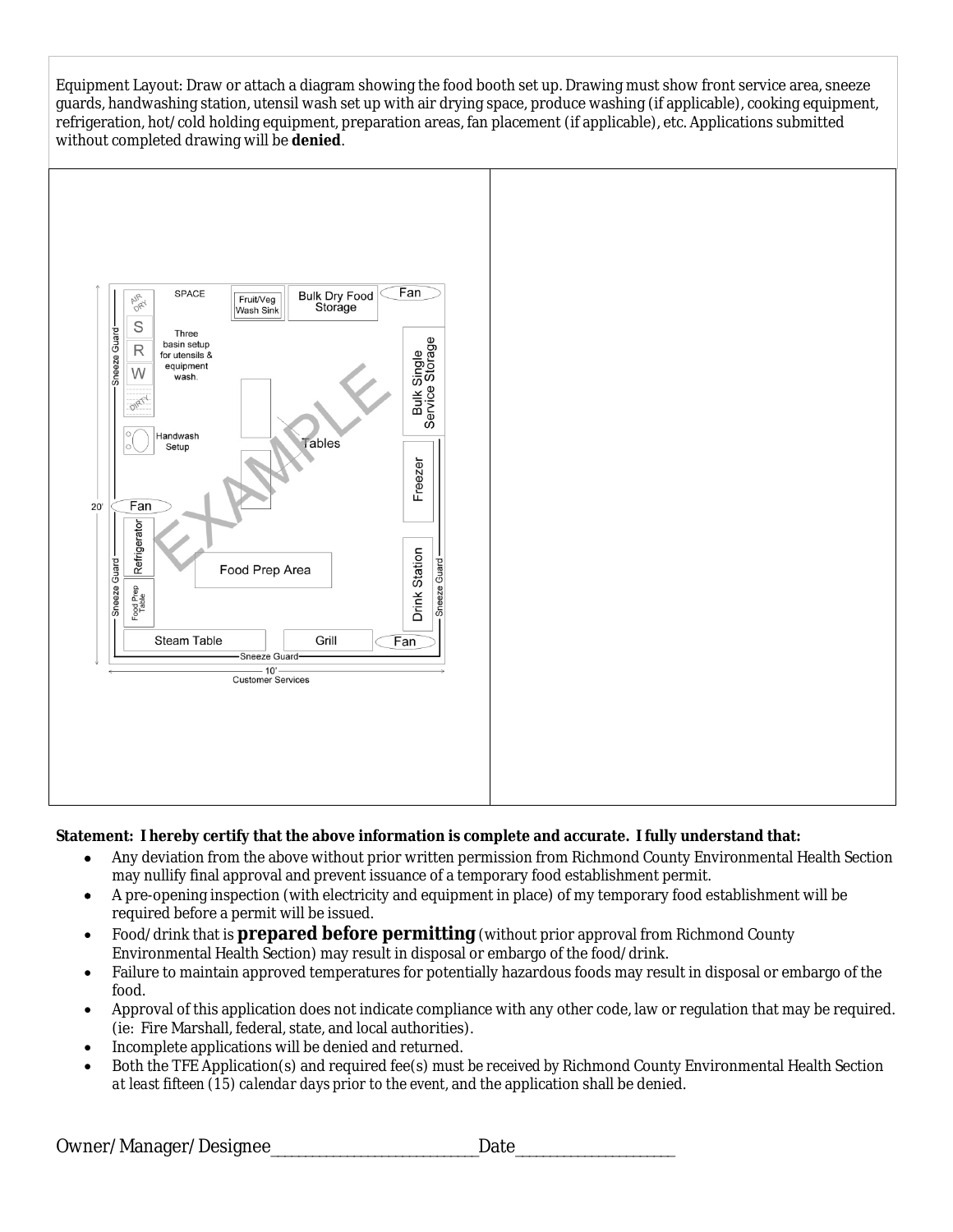Equipment Layout: Draw or attach a diagram showing the food booth set up. Drawing must show front service area, sneeze guards, handwashing station, utensil wash set up with air drying space, produce washing (if applicable), cooking equipment, refrigeration, hot/cold holding equipment, preparation areas, fan placement (if applicable), etc. Applications submitted without completed drawing will be **denied**.



#### **Statement: I hereby certify that the above information is complete and accurate. I fully understand that:**

- Any deviation from the above without prior written permission from Richmond County Environmental Health Section may nullify final approval and prevent issuance of a temporary food establishment permit.
- A pre-opening inspection (with electricity and equipment in place) of my temporary food establishment will be required before a permit will be issued.
- Food/drink that is **prepared before permitting** (without prior approval from Richmond County Environmental Health Section) may result in disposal or embargo of the food/drink.
- Failure to maintain approved temperatures for potentially hazardous foods may result in disposal or embargo of the food.
- Approval of this application does not indicate compliance with any other code, law or regulation that may be required. (ie: Fire Marshall, federal, state, and local authorities).
- Incomplete applications will be denied and returned.
- Both the TFE Application(s) and required fee(s) *must be received by* Richmond County Environmental Health Section *at least fifteen (15) calendar days prior to the event,* and the application shall be denied.

Owner/Manager/Designee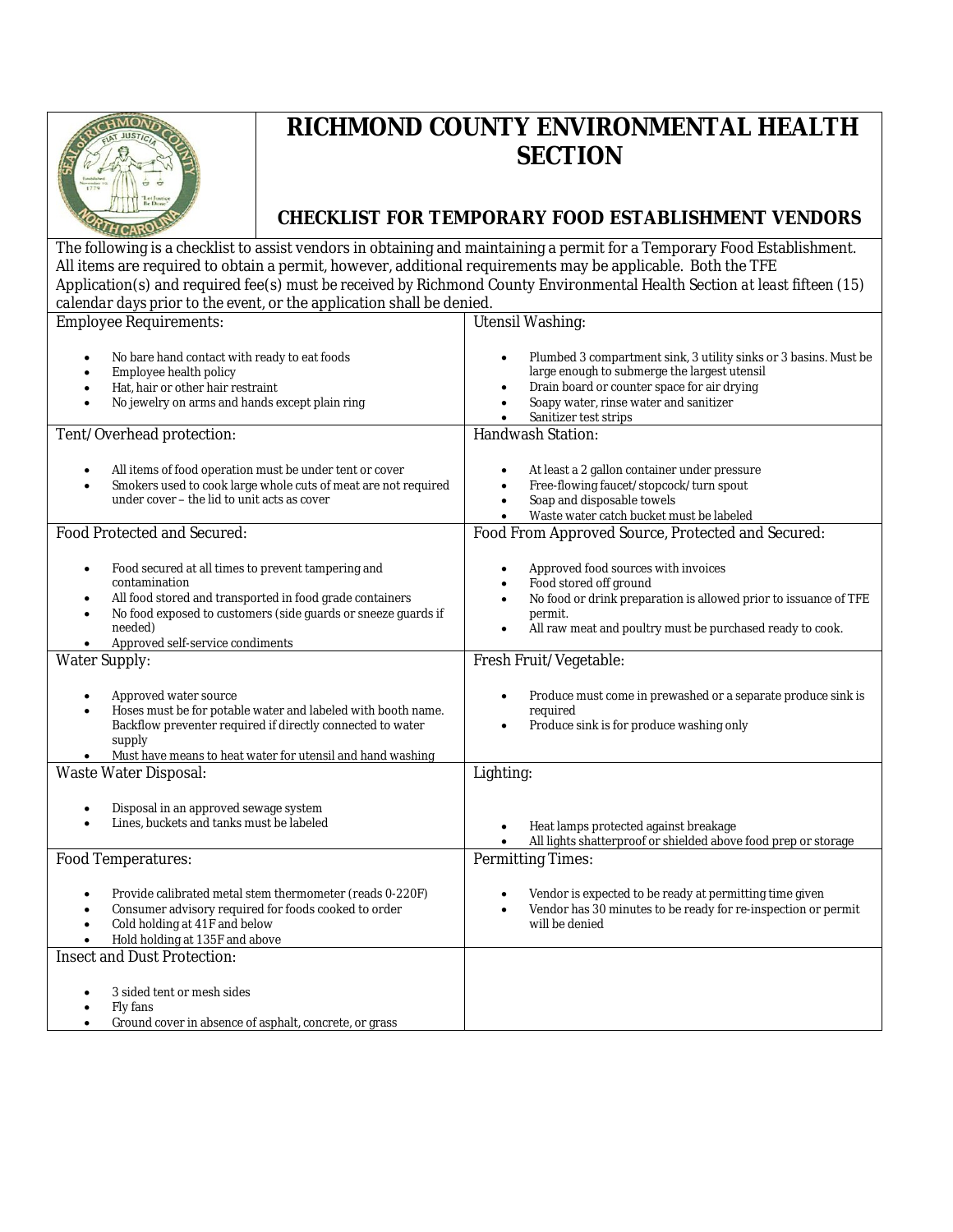

# **RICHMOND COUNTY ENVIRONMENTAL HEALTH SECTION**

## **CHECKLIST FOR TEMPORARY FOOD ESTABLISHMENT VENDORS**

The following is a checklist to assist vendors in obtaining and maintaining a permit for a Temporary Food Establishment. All items are required to obtain a permit, however, additional requirements may be applicable. Both the TFE Application(s) and required fee(s) *must be received by* Richmond County Environmental Health Section *at least fifteen (15) calendar days prior to the event,* or the application shall be denied.

| <b>Employee Requirements:</b>                                                                                                                                                                                                                                                          | <b>Utensil Washing:</b>                                                                                                                                                                                                                                 |  |  |  |  |
|----------------------------------------------------------------------------------------------------------------------------------------------------------------------------------------------------------------------------------------------------------------------------------------|---------------------------------------------------------------------------------------------------------------------------------------------------------------------------------------------------------------------------------------------------------|--|--|--|--|
| No bare hand contact with ready to eat foods<br>$\bullet$<br>Employee health policy<br>Hat, hair or other hair restraint<br>No jewelry on arms and hands except plain ring                                                                                                             | Plumbed 3 compartment sink, 3 utility sinks or 3 basins. Must be<br>large enough to submerge the largest utensil<br>Drain board or counter space for air drying<br>Soapy water, rinse water and sanitizer<br>Sanitizer test strips<br>Handwash Station: |  |  |  |  |
| Tent/Overhead protection:                                                                                                                                                                                                                                                              |                                                                                                                                                                                                                                                         |  |  |  |  |
| All items of food operation must be under tent or cover<br>$\bullet$<br>Smokers used to cook large whole cuts of meat are not required<br>$\bullet$<br>under cover – the lid to unit acts as cover                                                                                     | At least a 2 gallon container under pressure<br>Free-flowing faucet/stopcock/turn spout<br>$\bullet$<br>Soap and disposable towels<br>$\bullet$<br>Waste water catch bucket must be labeled                                                             |  |  |  |  |
| Food Protected and Secured:                                                                                                                                                                                                                                                            | Food From Approved Source, Protected and Secured:                                                                                                                                                                                                       |  |  |  |  |
| Food secured at all times to prevent tampering and<br>$\bullet$<br>contamination<br>All food stored and transported in food grade containers<br>$\bullet$<br>No food exposed to customers (side guards or sneeze guards if<br>$\bullet$<br>needed)<br>Approved self-service condiments | Approved food sources with invoices<br>Food stored off ground<br>No food or drink preparation is allowed prior to issuance of TFE<br>permit.<br>All raw meat and poultry must be purchased ready to cook.<br>$\bullet$                                  |  |  |  |  |
| <b>Water Supply:</b>                                                                                                                                                                                                                                                                   | Fresh Fruit/Vegetable:                                                                                                                                                                                                                                  |  |  |  |  |
| Approved water source<br>$\bullet$<br>Hoses must be for potable water and labeled with booth name.<br>$\bullet$<br>Backflow preventer required if directly connected to water<br>supply<br>Must have means to heat water for utensil and hand washing                                  | Produce must come in prewashed or a separate produce sink is<br>required<br>Produce sink is for produce washing only                                                                                                                                    |  |  |  |  |
| <b>Waste Water Disposal:</b>                                                                                                                                                                                                                                                           | Lighting:                                                                                                                                                                                                                                               |  |  |  |  |
| Disposal in an approved sewage system<br>$\bullet$<br>Lines, buckets and tanks must be labeled                                                                                                                                                                                         | Heat lamps protected against breakage<br>All lights shatterproof or shielded above food prep or storage                                                                                                                                                 |  |  |  |  |
| Food Temperatures:                                                                                                                                                                                                                                                                     | <b>Permitting Times:</b>                                                                                                                                                                                                                                |  |  |  |  |
| Provide calibrated metal stem thermometer (reads 0-220F)<br>$\bullet$<br>Consumer advisory required for foods cooked to order<br>$\bullet$<br>Cold holding at 41F and below<br>$\bullet$<br>Hold holding at 135F and above                                                             | Vendor is expected to be ready at permitting time given<br>Vendor has 30 minutes to be ready for re-inspection or permit<br>$\bullet$<br>will be denied                                                                                                 |  |  |  |  |
| <b>Insect and Dust Protection:</b>                                                                                                                                                                                                                                                     |                                                                                                                                                                                                                                                         |  |  |  |  |
| 3 sided tent or mesh sides<br>Fly fans<br>Ground cover in absence of asphalt, concrete, or grass<br>$\bullet$                                                                                                                                                                          |                                                                                                                                                                                                                                                         |  |  |  |  |